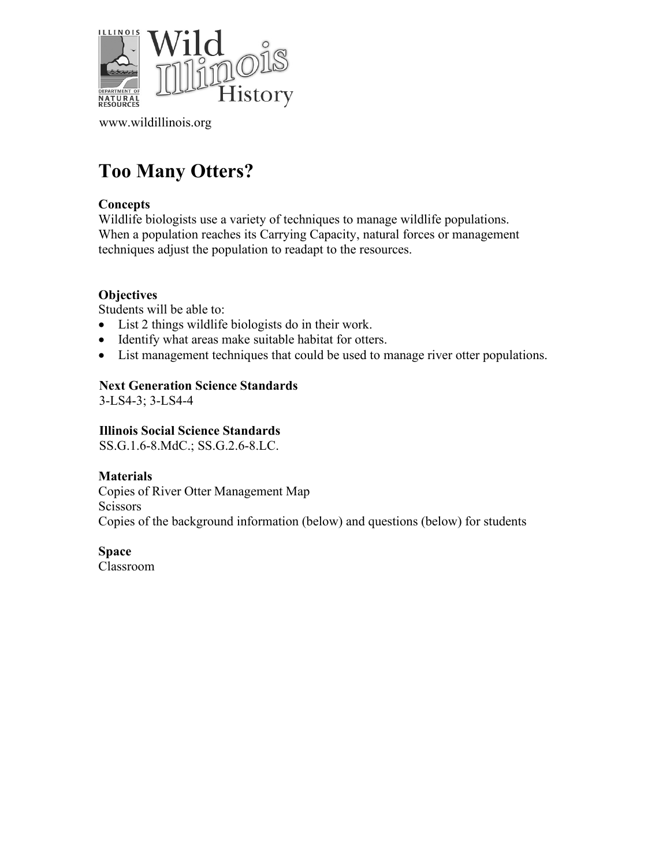

[www.wildillinois.org](http://www.wildillinois.org/)

# **Too Many Otters?**

#### **Concepts**

Wildlife biologists use a variety of techniques to manage wildlife populations. When a population reaches its Carrying Capacity, natural forces or management techniques adjust the population to readapt to the resources.

#### **Objectives**

Students will be able to:

- List 2 things wildlife biologists do in their work.
- Identify what areas make suitable habitat for otters.
- List management techniques that could be used to manage river otter populations.

#### **Next Generation Science Standards**

3-LS4-3; 3-LS4-4

#### **Illinois Social Science Standards**

SS.G.1.6-8.MdC.; SS.G.2.6-8.LC.

#### **Materials** Copies of River Otter Management Map Scissors Copies of the background information (below) and questions (below) for students

**Space**

Classroom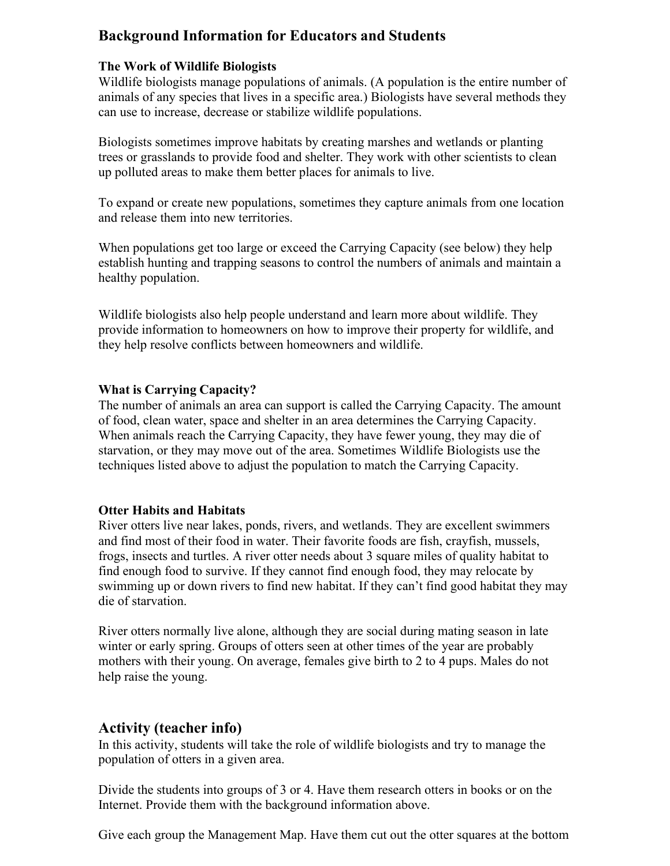# **Background Information for Educators and Students**

#### **The Work of Wildlife Biologists**

Wildlife biologists manage populations of animals. (A population is the entire number of animals of any species that lives in a specific area.) Biologists have several methods they can use to increase, decrease or stabilize wildlife populations.

Biologists sometimes improve habitats by creating marshes and wetlands or planting trees or grasslands to provide food and shelter. They work with other scientists to clean up polluted areas to make them better places for animals to live.

To expand or create new populations, sometimes they capture animals from one location and release them into new territories.

When populations get too large or exceed the Carrying Capacity (see below) they help establish hunting and trapping seasons to control the numbers of animals and maintain a healthy population.

Wildlife biologists also help people understand and learn more about wildlife. They provide information to homeowners on how to improve their property for wildlife, and they help resolve conflicts between homeowners and wildlife.

#### **What is Carrying Capacity?**

The number of animals an area can support is called the Carrying Capacity. The amount of food, clean water, space and shelter in an area determines the Carrying Capacity. When animals reach the Carrying Capacity, they have fewer young, they may die of starvation, or they may move out of the area. Sometimes Wildlife Biologists use the techniques listed above to adjust the population to match the Carrying Capacity.

#### **Otter Habits and Habitats**

River otters live near lakes, ponds, rivers, and wetlands. They are excellent swimmers and find most of their food in water. Their favorite foods are fish, crayfish, mussels, frogs, insects and turtles. A river otter needs about 3 square miles of quality habitat to find enough food to survive. If they cannot find enough food, they may relocate by swimming up or down rivers to find new habitat. If they can't find good habitat they may die of starvation.

River otters normally live alone, although they are social during mating season in late winter or early spring. Groups of otters seen at other times of the year are probably mothers with their young. On average, females give birth to 2 to 4 pups. Males do not help raise the young.

## **Activity (teacher info)**

In this activity, students will take the role of wildlife biologists and try to manage the population of otters in a given area.

Divide the students into groups of 3 or 4. Have them research otters in books or on the Internet. Provide them with the background information above.

Give each group the Management Map. Have them cut out the otter squares at the bottom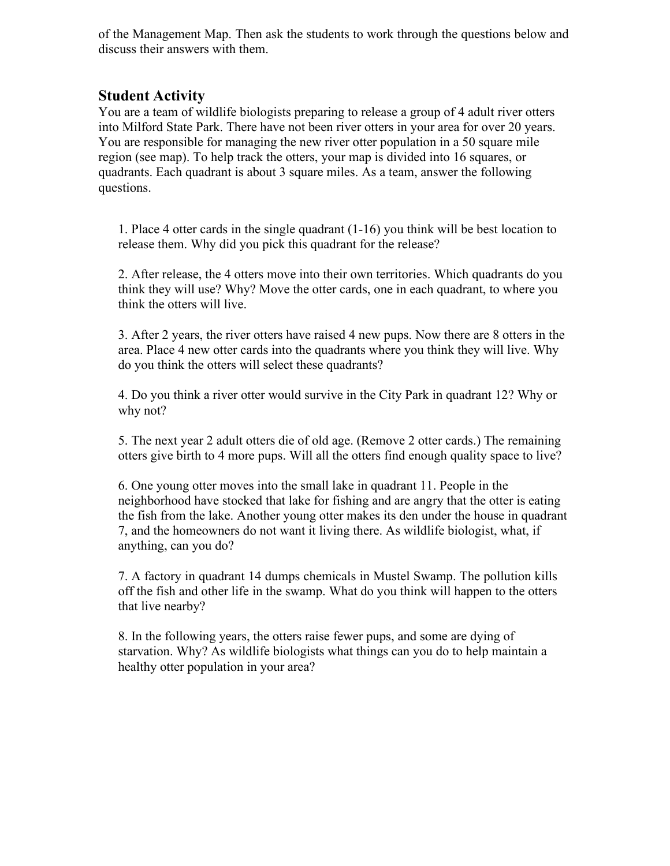of the Management Map. Then ask the students to work through the questions below and discuss their answers with them.

### **Student Activity**

You are a team of wildlife biologists preparing to release a group of 4 adult river otters into Milford State Park. There have not been river otters in your area for over 20 years. You are responsible for managing the new river otter population in a 50 square mile region (see map). To help track the otters, your map is divided into 16 squares, or quadrants. Each quadrant is about 3 square miles. As a team, answer the following questions.

1. Place 4 otter cards in the single quadrant (1-16) you think will be best location to release them. Why did you pick this quadrant for the release?

2. After release, the 4 otters move into their own territories. Which quadrants do you think they will use? Why? Move the otter cards, one in each quadrant, to where you think the otters will live.

3. After 2 years, the river otters have raised 4 new pups. Now there are 8 otters in the area. Place 4 new otter cards into the quadrants where you think they will live. Why do you think the otters will select these quadrants?

4. Do you think a river otter would survive in the City Park in quadrant 12? Why or why not?

5. The next year 2 adult otters die of old age. (Remove 2 otter cards.) The remaining otters give birth to 4 more pups. Will all the otters find enough quality space to live?

6. One young otter moves into the small lake in quadrant 11. People in the neighborhood have stocked that lake for fishing and are angry that the otter is eating the fish from the lake. Another young otter makes its den under the house in quadrant 7, and the homeowners do not want it living there. As wildlife biologist, what, if anything, can you do?

7. A factory in quadrant 14 dumps chemicals in Mustel Swamp. The pollution kills off the fish and other life in the swamp. What do you think will happen to the otters that live nearby?

8. In the following years, the otters raise fewer pups, and some are dying of starvation. Why? As wildlife biologists what things can you do to help maintain a healthy otter population in your area?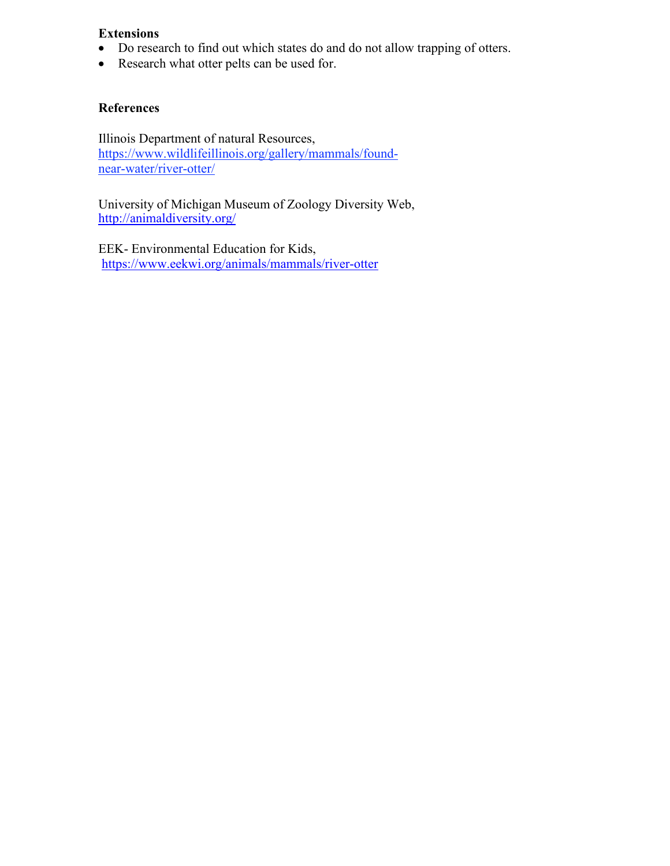# **Extensions**

- Do research to find out which states do and do not allow trapping of otters.
- Research what otter pelts can be used for.

#### **References**

Illinois Department of natural Resources, [https://www.wildlifeillinois.org/gallery/mammals/found](https://www.wildlifeillinois.org/gallery/mammals/found-near-water/river-otter/)[near-water/river-otter/](https://www.wildlifeillinois.org/gallery/mammals/found-near-water/river-otter/)

University of Michigan Museum of Zoology Diversity Web, <http://animaldiversity.org/>

EEK- Environmental Education for Kids, <https://www.eekwi.org/animals/mammals/river-otter>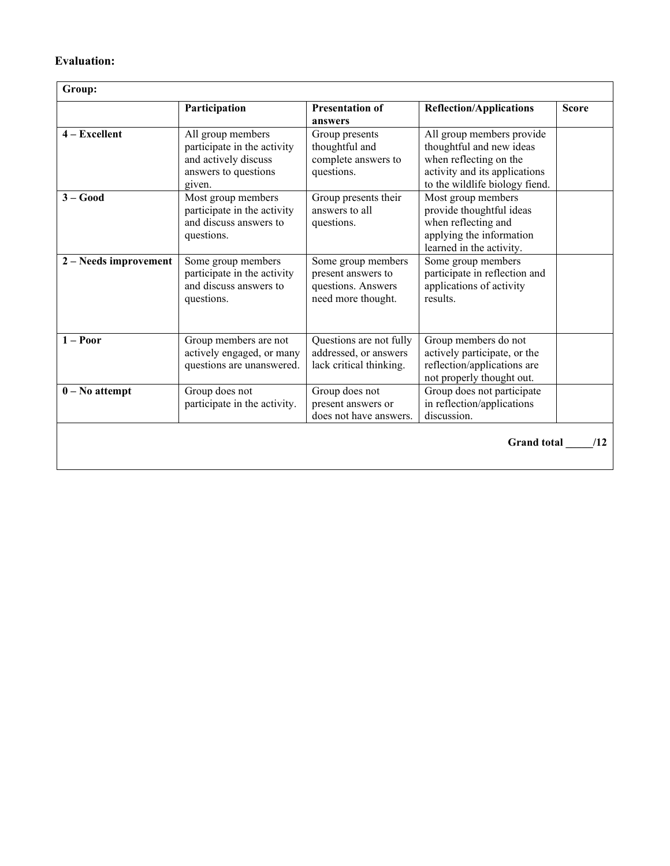#### **Evaluation:**

 $\overline{\phantom{a}}$ 

|                       | Participation                                                                                              | <b>Presentation of</b><br>answers                                                    | <b>Reflection/Applications</b>                                                                                                                     | <b>Score</b> |
|-----------------------|------------------------------------------------------------------------------------------------------------|--------------------------------------------------------------------------------------|----------------------------------------------------------------------------------------------------------------------------------------------------|--------------|
| $4 - Excellent$       | All group members<br>participate in the activity<br>and actively discuss<br>answers to questions<br>given. | Group presents<br>thoughtful and<br>complete answers to<br>questions.                | All group members provide<br>thoughtful and new ideas<br>when reflecting on the<br>activity and its applications<br>to the wildlife biology fiend. |              |
| $3 - Good$            | Most group members<br>participate in the activity<br>and discuss answers to<br>questions.                  | Group presents their<br>answers to all<br>questions.                                 | Most group members<br>provide thoughtful ideas<br>when reflecting and<br>applying the information<br>learned in the activity.                      |              |
| 2 – Needs improvement | Some group members<br>participate in the activity<br>and discuss answers to<br>questions.                  | Some group members<br>present answers to<br>questions. Answers<br>need more thought. | Some group members<br>participate in reflection and<br>applications of activity<br>results.                                                        |              |
| $1 -$ Poor            | Group members are not<br>actively engaged, or many<br>questions are unanswered.                            | Questions are not fully<br>addressed, or answers<br>lack critical thinking.          | Group members do not<br>actively participate, or the<br>reflection/applications are<br>not properly thought out.                                   |              |
| $0 - No$ attempt      | Group does not<br>participate in the activity.                                                             | Group does not<br>present answers or<br>does not have answers.                       | Group does not participate<br>in reflection/applications<br>discussion.                                                                            |              |